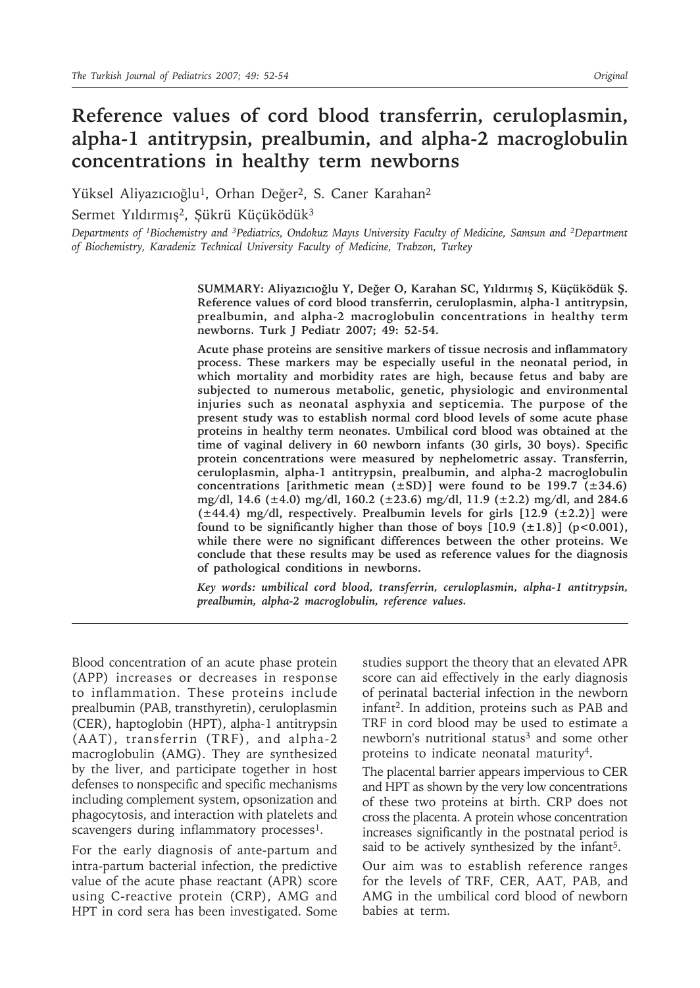# **Reference values of cord blood transferrin, ceruloplasmin, alpha-1 antitrypsin, prealbumin, and alpha-2 macroglobulin concentrations in healthy term newborns**

Yüksel Aliyazıcıoğlu<sup>1</sup>, Orhan Değer<sup>2</sup>, S. Caner Karahan<sup>2</sup>

Sermet Yıldırmış<sup>2</sup>, Şükrü Küçüködük<sup>3</sup>

*Departments of 1Biochemistry and 3Pediatrics, Ondokuz Mayıs University Faculty of Medicine, Samsun and 2Department of Biochemistry, Karadeniz Technical University Faculty of Medicine, Trabzon, Turkey*

> **SUMMARY: Aliyazıcıoğlu Y, Değer O, Karahan SC, Yıldırmış S, Küçüködük Ş. Reference values of cord blood transferrin, ceruloplasmin, alpha-1 antitrypsin, prealbumin, and alpha-2 macroglobulin concentrations in healthy term newborns. Turk J Pediatr 2007; 49: 52-54.**

> **Acute phase proteins are sensitive markers of tissue necrosis and inflammatory process. These markers may be especially useful in the neonatal period, in which mortality and morbidity rates are high, because fetus and baby are subjected to numerous metabolic, genetic, physiologic and environmental injuries such as neonatal asphyxia and septicemia. The purpose of the present study was to establish normal cord blood levels of some acute phase proteins in healthy term neonates. Umbilical cord blood was obtained at the time of vaginal delivery in 60 newborn infants (30 girls, 30 boys). Specific protein concentrations were measured by nephelometric assay. Transferrin, ceruloplasmin, alpha-1 antitrypsin, prealbumin, and alpha-2 macroglobulin concentrations [arithmetic mean (±SD)] were found to be 199.7 (±34.6) mg/dl, 14.6 (±4.0) mg/dl, 160.2 (±23.6) mg/dl, 11.9 (±2.2) mg/dl, and 284.6 (±44.4) mg/dl, respectively. Prealbumin levels for girls [12.9 (±2.2)] were**  found to be significantly higher than those of boys  $[10.9 \text{ (+}1.8)]$  (p<0.001), **while there were no significant differences between the other proteins. We conclude that these results may be used as reference values for the diagnosis of pathological conditions in newborns.**

> *Key words: umbilical cord blood, transferrin, ceruloplasmin, alpha-1 antitrypsin, prealbumin, alpha-2 macroglobulin, reference values.*

Blood concentration of an acute phase protein (APP) increases or decreases in response to inflammation. These proteins include prealbumin (PAB, transthyretin), ceruloplasmin (CER), haptoglobin (HPT), alpha-1 antitrypsin (AAT), transferrin (TRF), and alpha-2 macroglobulin (AMG). They are synthesized by the liver, and participate together in host defenses to nonspecific and specific mechanisms including complement system, opsonization and phagocytosis, and interaction with platelets and scavengers during inflammatory processes<sup>1</sup>.

For the early diagnosis of ante-partum and intra-partum bacterial infection, the predictive value of the acute phase reactant (APR) score using C-reactive protein (CRP), AMG and HPT in cord sera has been investigated. Some

studies support the theory that an elevated APR score can aid effectively in the early diagnosis of perinatal bacterial infection in the newborn infant2. In addition, proteins such as PAB and TRF in cord blood may be used to estimate a newborn's nutritional status<sup>3</sup> and some other proteins to indicate neonatal maturity<sup>4</sup>.

The placental barrier appears impervious to CER and HPT as shown by the very low concentrations of these two proteins at birth. CRP does not cross the placenta. A protein whose concentration increases significantly in the postnatal period is said to be actively synthesized by the infant<sup>5</sup>.

Our aim was to establish reference ranges for the levels of TRF, CER, AAT, PAB, and AMG in the umbilical cord blood of newborn babies at term.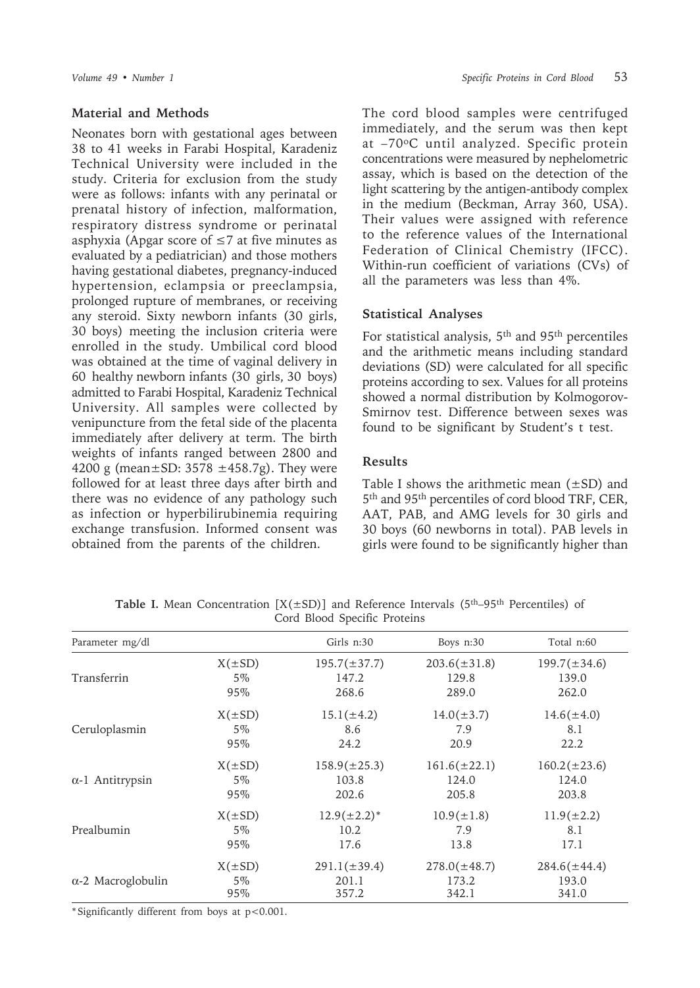#### **Material and Methods**

Neonates born with gestational ages between 38 to 41 weeks in Farabi Hospital, Karadeniz Technical University were included in the study. Criteria for exclusion from the study were as follows: infants with any perinatal or prenatal history of infection, malformation, respiratory distress syndrome or perinatal asphyxia (Apgar score of  $\leq$ 7 at five minutes as evaluated by a pediatrician) and those mothers having gestational diabetes, pregnancy-induced hypertension, eclampsia or preeclampsia, prolonged rupture of membranes, or receiving any steroid. Sixty newborn infants (30 girls, 30 boys) meeting the inclusion criteria were enrolled in the study. Umbilical cord blood was obtained at the time of vaginal delivery in 60 healthy newborn infants (30 girls, 30 boys) admitted to Farabi Hospital, Karadeniz Technical University. All samples were collected by venipuncture from the fetal side of the placenta immediately after delivery at term. The birth weights of infants ranged between 2800 and 4200 g (mean $\pm$ SD: 3578  $\pm$ 458.7g). They were followed for at least three days after birth and there was no evidence of any pathology such as infection or hyperbilirubinemia requiring exchange transfusion. Informed consent was obtained from the parents of the children.

The cord blood samples were centrifuged immediately, and the serum was then kept at –70oC until analyzed. Specific protein concentrations were measured by nephelometric assay, which is based on the detection of the light scattering by the antigen-antibody complex in the medium (Beckman, Array 360, USA). Their values were assigned with reference to the reference values of the International Federation of Clinical Chemistry (IFCC). Within-run coefficient of variations (CVs) of all the parameters was less than 4%.

# **Statistical Analyses**

For statistical analysis, 5th and 95th percentiles and the arithmetic means including standard deviations (SD) were calculated for all specific proteins according to sex. Values for all proteins showed a normal distribution by Kolmogorov-Smirnov test. Difference between sexes was found to be significant by Student's t test.

# **Results**

Table I shows the arithmetic mean  $(\pm SD)$  and 5th and 95th percentiles of cord blood TRF, CER, AAT, PAB, and AMG levels for 30 girls and 30 boys (60 newborns in total). PAB levels in girls were found to be significantly higher than

| Parameter mg/dl           |             | Girls n:30        | Boys n:30         | Total n:60        |
|---------------------------|-------------|-------------------|-------------------|-------------------|
| Transferrin               | $X(\pm SD)$ | $195.7(\pm 37.7)$ | $203.6(\pm 31.8)$ | $199.7(\pm 34.6)$ |
|                           | $5\%$       | 147.2             | 129.8             | 139.0             |
|                           | 95%         | 268.6             | 289.0             | 262.0             |
| Ceruloplasmin             | $X(\pm SD)$ | $15.1(\pm 4.2)$   | $14.0(\pm 3.7)$   | $14.6(\pm 4.0)$   |
|                           | 5%          | 8.6               | 7.9               | 8.1               |
|                           | 95%         | 24.2              | 20.9              | 22.2              |
| $\alpha$ -1 Antitrypsin   | $X(\pm SD)$ | $158.9(\pm 25.3)$ | $161.6(\pm 22.1)$ | $160.2(\pm 23.6)$ |
|                           | 5%          | 103.8             | 124.0             | 124.0             |
|                           | 95%         | 202.6             | 205.8             | 203.8             |
| Prealbumin                | $X(\pm SD)$ | $12.9(\pm 2.2)^*$ | $10.9(\pm 1.8)$   | $11.9(\pm 2.2)$   |
|                           | $5\%$       | 10.2              | 7.9               | 8.1               |
|                           | 95%         | 17.6              | 13.8              | 17.1              |
| $\alpha$ -2 Macroglobulin | $X(\pm SD)$ | $291.1(\pm 39.4)$ | $278.0(\pm 48.7)$ | $284.6(\pm 44.4)$ |
|                           | 5%          | 201.1             | 173.2             | 193.0             |
|                           | 95%         | 357.2             | 342.1             | 341.0             |

**Table I.** Mean Concentration  $[X(\pm SD)]$  and Reference Intervals (5<sup>th</sup>–95<sup>th</sup> Percentiles) of Cord Blood Specific Proteins

\* Significantly different from boys at p<0.001.